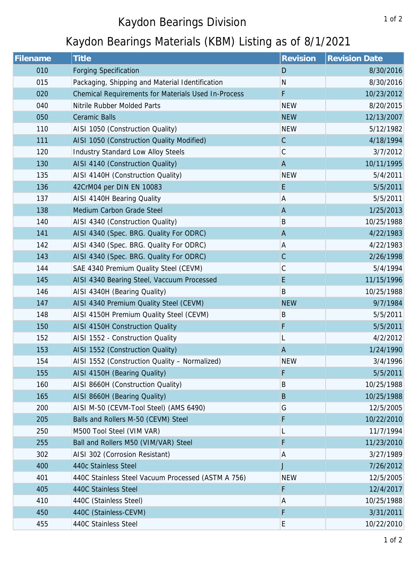## Kaydon Bearings Division

## Kaydon Bearings Materials (KBM) Listing as of 8/1/2021

| <b>Filename</b> | <b>Title</b>                                        | Revision     | <b>Revision Date</b> |
|-----------------|-----------------------------------------------------|--------------|----------------------|
| 010             | <b>Forging Specification</b>                        | D            | 8/30/2016            |
| 015             | Packaging, Shipping and Material Identification     | $\mathsf{N}$ | 8/30/2016            |
| 020             | Chemical Requirements for Materials Used In-Process | F            | 10/23/2012           |
| 040             | Nitrile Rubber Molded Parts                         | <b>NEW</b>   | 8/20/2015            |
| 050             | <b>Ceramic Balls</b>                                | <b>NEW</b>   | 12/13/2007           |
| 110             | AISI 1050 (Construction Quality)                    | <b>NEW</b>   | 5/12/1982            |
| 111             | AISI 1050 (Construction Quality Modified)           | $\mathsf C$  | 4/18/1994            |
| 120             | <b>Industry Standard Low Alloy Steels</b>           | $\mathsf C$  | 3/7/2012             |
| 130             | AISI 4140 (Construction Quality)                    | $\mathsf A$  | 10/11/1995           |
| 135             | AISI 4140H (Construction Quality)                   | <b>NEW</b>   | 5/4/2011             |
| 136             | 42CrM04 per DIN EN 10083                            | E            | 5/5/2011             |
| 137             | AISI 4140H Bearing Quality                          | A            | 5/5/2011             |
| 138             | Medium Carbon Grade Steel                           | $\mathsf A$  | 1/25/2013            |
| 140             | AISI 4340 (Construction Quality)                    | $\sf B$      | 10/25/1988           |
| 141             | AISI 4340 (Spec. BRG. Quality For ODRC)             | $\mathsf{A}$ | 4/22/1983            |
| 142             | AISI 4340 (Spec. BRG. Quality For ODRC)             | A            | 4/22/1983            |
| 143             | AISI 4340 (Spec. BRG. Quality For ODRC)             | $\mathsf C$  | 2/26/1998            |
| 144             | SAE 4340 Premium Quality Steel (CEVM)               | $\mathsf C$  | 5/4/1994             |
| 145             | AISI 4340 Bearing Steel, Vaccuum Processed          | E            | 11/15/1996           |
| 146             | AISI 4340H (Bearing Quality)                        | $\sf B$      | 10/25/1988           |
| 147             | AISI 4340 Premium Quality Steel (CEVM)              | <b>NEW</b>   | 9/7/1984             |
| 148             | AISI 4150H Premium Quality Steel (CEVM)             | B            | 5/5/2011             |
| 150             | AISI 4150H Construction Quality                     | F            | 5/5/2011             |
| 152             | AISI 1552 - Construction Quality                    | L            | 4/2/2012             |
| 153             | AISI 1552 (Construction Quality)                    | $\mathsf A$  | 1/24/1990            |
| 154             | AISI 1552 (Construction Quality - Normalized)       | <b>NEW</b>   | 3/4/1996             |
| 155             | AISI 4150H (Bearing Quality)                        | F            | 5/5/2011             |
| 160             | AISI 8660H (Construction Quality)                   | B            | 10/25/1988           |
| 165             | AISI 8660H (Bearing Quality)                        | $\mathsf B$  | 10/25/1988           |
| 200             | AISI M-50 (CEVM-Tool Steel) (AMS 6490)              | G            | 12/5/2005            |
| 205             | Balls and Rollers M-50 (CEVM) Steel                 | F            | 10/22/2010           |
| 250             | M500 Tool Steel (VIM VAR)                           | L            | 11/7/1994            |
| 255             | Ball and Rollers M50 (VIM/VAR) Steel                | F            | 11/23/2010           |
| 302             | AISI 302 (Corrosion Resistant)                      | A            | 3/27/1989            |
| 400             | 440c Stainless Steel                                | J            | 7/26/2012            |
| 401             | 440C Stainless Steel Vacuum Processed (ASTM A 756)  | <b>NEW</b>   | 12/5/2005            |
| 405             | 440C Stainless Steel                                | F            | 12/4/2017            |
| 410             | 440C (Stainless Steel)                              | A            | 10/25/1988           |
| 450             | 440C (Stainless-CEVM)                               | F            | 3/31/2011            |
| 455             | 440C Stainless Steel                                | Е            | 10/22/2010           |